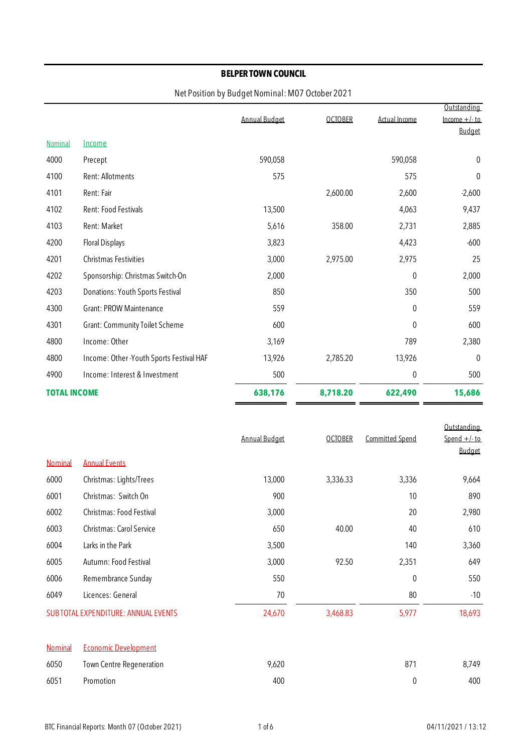|                     |                                          |                      |                |               | Outstanding    |
|---------------------|------------------------------------------|----------------------|----------------|---------------|----------------|
|                     |                                          | <b>Annual Budget</b> | <b>OCTOBER</b> | Actual Income | $lncome +/-to$ |
|                     |                                          |                      |                |               | <b>Budget</b>  |
| Nominal             | Income                                   |                      |                |               |                |
| 4000                | Precept                                  | 590,058              |                | 590,058       | 0              |
| 4100                | Rent: Allotments                         | 575                  |                | 575           | 0              |
| 4101                | Rent: Fair                               |                      | 2,600.00       | 2,600         | $-2,600$       |
| 4102                | Rent: Food Festivals                     | 13,500               |                | 4,063         | 9,437          |
| 4103                | Rent: Market                             | 5,616                | 358.00         | 2,731         | 2,885          |
| 4200                | Floral Displays                          | 3,823                |                | 4,423         | $-600$         |
| 4201                | Christmas Festivities                    | 3,000                | 2,975.00       | 2,975         | 25             |
| 4202                | Sponsorship: Christmas Switch-On         | 2,000                |                | $\theta$      | 2,000          |
| 4203                | Donations: Youth Sports Festival         | 850                  |                | 350           | 500            |
| 4300                | <b>Grant: PROW Maintenance</b>           | 559                  |                | 0             | 559            |
| 4301                | <b>Grant: Community Toilet Scheme</b>    | 600                  |                | $\theta$      | 600            |
| 4800                | Income: Other                            | 3,169                |                | 789           | 2,380          |
| 4800                | Income: Other -Youth Sports Festival HAF | 13,926               | 2,785.20       | 13,926        | $\mathbf 0$    |
| 4900                | Income: Interest & Investment            | 500                  |                | 0             | 500            |
| <b>TOTAL INCOME</b> |                                          | 638,176              | 8,718.20       | 622,490       | 15,686         |
|                     |                                          |                      |                |               |                |
|                     |                                          |                      |                |               | Outstanding    |

|                |                                             | <b>Annual Budget</b> | <b>OCTOBER</b> | <b>Committed Spend</b> | Spend $+/-$ to<br><b>Budget</b> |
|----------------|---------------------------------------------|----------------------|----------------|------------------------|---------------------------------|
| <b>Nominal</b> | <b>Annual Events</b>                        |                      |                |                        |                                 |
| 6000           | Christmas: Lights/Trees                     | 13,000               | 3,336.33       | 3,336                  | 9,664                           |
| 6001           | Christmas: Switch On                        | 900                  |                | 10                     | 890                             |
| 6002           | Christmas: Food Festival                    | 3,000                |                | 20                     | 2,980                           |
| 6003           | Christmas: Carol Service                    | 650                  | 40.00          | 40                     | 610                             |
| 6004           | Larks in the Park                           | 3,500                |                | 140                    | 3,360                           |
| 6005           | Autumn: Food Festival                       | 3,000                | 92.50          | 2,351                  | 649                             |
| 6006           | Remembrance Sunday                          | 550                  |                | $\mathbf 0$            | 550                             |
| 6049           | Licences: General                           | 70                   |                | 80                     | $-10$                           |
|                | <b>SUB TOTAL EXPENDITURE: ANNUAL EVENTS</b> | 24,670               | 3,468.83       | 5,977                  | 18,693                          |
|                |                                             |                      |                |                        |                                 |
| <b>Nominal</b> | <b>Economic Development</b>                 |                      |                |                        |                                 |

| 6050 | Town Centre Regeneration | 9,620 | 871 | 8,749 |
|------|--------------------------|-------|-----|-------|
| 6051 | Promotion                | 400   |     | 400   |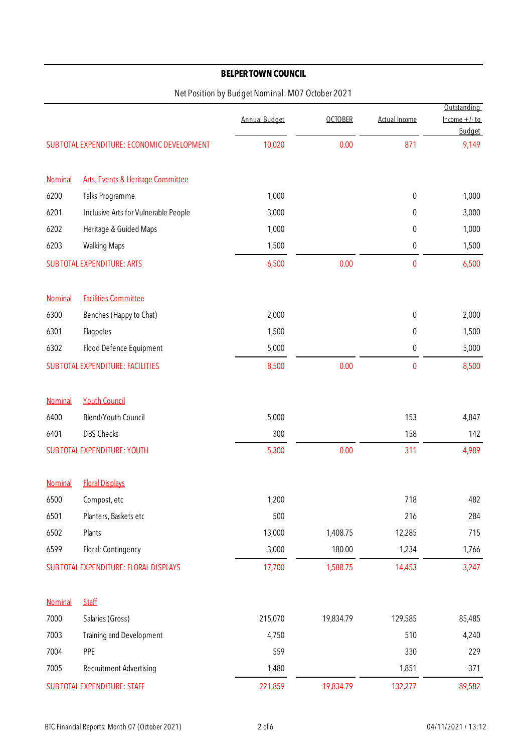|         |                                             |                      |                |               | Outstanding                     |
|---------|---------------------------------------------|----------------------|----------------|---------------|---------------------------------|
|         |                                             | <b>Annual Budget</b> | <b>OCTOBER</b> | Actual Income | $lncome +/-to$<br><b>Budget</b> |
|         | SUB TOTAL EXPENDITURE: ECONOMIC DEVELOPMENT | 10,020               | 0.00           | 871           | 9,149                           |
| Nominal | Arts, Events & Heritage Committee           |                      |                |               |                                 |
| 6200    | Talks Programme                             | 1,000                |                | $\pmb{0}$     | 1,000                           |
| 6201    | Inclusive Arts for Vulnerable People        | 3,000                |                | 0             | 3,000                           |
| 6202    | Heritage & Guided Maps                      | 1,000                |                | 0             | 1,000                           |
| 6203    | <b>Walking Maps</b>                         | 1,500                |                | 0             | 1,500                           |
|         | <b>SUB TOTAL EXPENDITURE: ARTS</b>          | 6,500                | 0.00           | $\bf{0}$      | 6,500                           |
| Nominal | <b>Facilities Committee</b>                 |                      |                |               |                                 |
| 6300    | Benches (Happy to Chat)                     | 2,000                |                | $\pmb{0}$     | 2,000                           |
| 6301    | Flagpoles                                   | 1,500                |                | 0             | 1,500                           |
| 6302    | Flood Defence Equipment                     | 5,000                |                | 0             | 5,000                           |
|         | <b>SUB TOTAL EXPENDITURE: FACILITIES</b>    | 8,500                | 0.00           | 0             | 8,500                           |
| Nominal | <b>Youth Council</b>                        |                      |                |               |                                 |
| 6400    | Blend/Youth Council                         | 5,000                |                | 153           | 4,847                           |
| 6401    | DBS Checks                                  | 300                  |                | 158           | 142                             |
|         | <b>SUB TOTAL EXPENDITURE: YOUTH</b>         | 5,300                | 0.00           | 311           | 4,989                           |
| Nominal | <b>Floral Displays</b>                      |                      |                |               |                                 |
| 6500    | Compost, etc                                | 1,200                |                | 718           | 482                             |
| 6501    | Planters, Baskets etc                       | 500                  |                | 216           | 284                             |
| 6502    | Plants                                      | 13,000               | 1,408.75       | 12,285        | 715                             |
| 6599    | Floral: Contingency                         | 3,000                | 180.00         | 1,234         | 1,766                           |
|         | SUB TOTAL EXPENDITURE: FLORAL DISPLAYS      | 17,700               | 1,588.75       | 14,453        | 3,247                           |
| Nominal | <b>Staff</b>                                |                      |                |               |                                 |
| 7000    | Salaries (Gross)                            | 215,070              | 19,834.79      | 129,585       | 85,485                          |
| 7003    | <b>Training and Development</b>             | 4,750                |                | 510           | 4,240                           |
| 7004    | PPE                                         | 559                  |                | 330           | 229                             |
| 7005    | Recruitment Advertising                     | 1,480                |                | 1,851         | $-371$                          |
|         | <b>SUB TOTAL EXPENDITURE: STAFF</b>         | 221,859              | 19,834.79      | 132,277       | 89,582                          |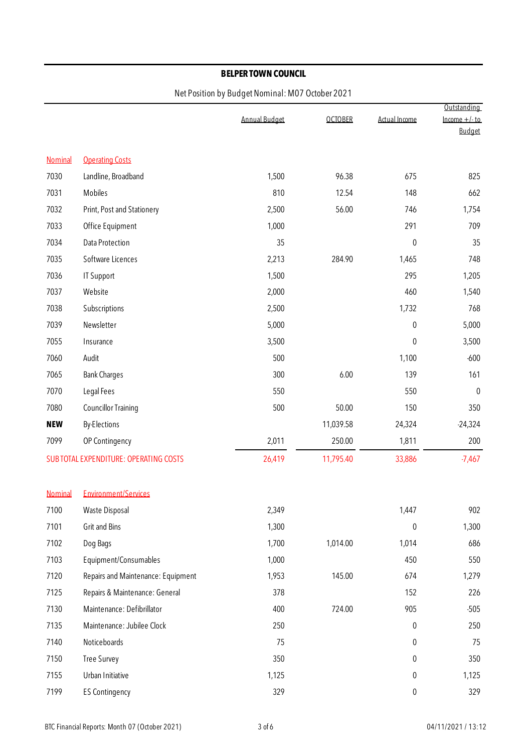|            |                                               |                      |                |               | Outstanding                      |  |
|------------|-----------------------------------------------|----------------------|----------------|---------------|----------------------------------|--|
|            |                                               | <b>Annual Budget</b> | <b>OCTOBER</b> | Actual Income | Income $+/-$ to<br><b>Budget</b> |  |
|            |                                               |                      |                |               |                                  |  |
| Nominal    | <b>Operating Costs</b>                        |                      |                |               |                                  |  |
| 7030       | Landline, Broadband                           | 1,500                | 96.38          | 675           | 825                              |  |
| 7031       | Mobiles                                       | 810                  | 12.54          | 148           | 662                              |  |
| 7032       | Print, Post and Stationery                    | 2,500                | 56.00          | 746           | 1,754                            |  |
| 7033       | Office Equipment                              | 1,000                |                | 291           | 709                              |  |
| 7034       | Data Protection                               | 35                   |                | $\pmb{0}$     | 35                               |  |
| 7035       | Software Licences                             | 2,213                | 284.90         | 1,465         | 748                              |  |
| 7036       | <b>IT Support</b>                             | 1,500                |                | 295           | 1,205                            |  |
| 7037       | Website                                       | 2,000                |                | 460           | 1,540                            |  |
| 7038       | Subscriptions                                 | 2,500                |                | 1,732         | 768                              |  |
| 7039       | Newsletter                                    | 5,000                |                | $\pmb{0}$     | 5,000                            |  |
| 7055       | Insurance                                     | 3,500                |                | 0             | 3,500                            |  |
| 7060       | Audit                                         | 500                  |                | 1,100         | $-600$                           |  |
| 7065       | <b>Bank Charges</b>                           | 300                  | 6.00           | 139           | 161                              |  |
| 7070       | Legal Fees                                    | 550                  |                | 550           | $\pmb{0}$                        |  |
| 7080       | <b>Councillor Training</b>                    | 500                  | 50.00          | 150           | 350                              |  |
| <b>NEW</b> | <b>By-Elections</b>                           |                      | 11,039.58      | 24,324        | $-24,324$                        |  |
| 7099       | OP Contingency                                | 2,011                | 250.00         | 1,811         | 200                              |  |
|            | <b>SUB TOTAL EXPENDITURE: OPERATING COSTS</b> | 26,419               | 11,795.40      | 33,886        | $-7,467$                         |  |
|            |                                               |                      |                |               |                                  |  |
| Nominal    | <b>Environment/Services</b>                   |                      |                |               |                                  |  |
| 7100       | Waste Disposal                                | 2,349                |                | 1,447         | 902                              |  |
| 7101       | <b>Grit and Bins</b>                          | 1,300                |                | 0             | 1,300                            |  |
| 7102       | Dog Bags                                      | 1,700                | 1,014.00       | 1,014         | 686                              |  |
| 7103       | Equipment/Consumables                         | 1,000                |                | 450           | 550                              |  |
| 7120       | Repairs and Maintenance: Equipment            | 1,953                | 145.00         | 674           | 1,279                            |  |
| 7125       | Repairs & Maintenance: General                | 378                  |                | 152           | 226                              |  |
| 7130       | Maintenance: Defibrillator                    | 400                  | 724.00         | 905           | $-505$                           |  |
| 7135       | Maintenance: Jubilee Clock                    | 250                  |                | 0             | 250                              |  |
| 7140       | Noticeboards                                  | 75                   |                | 0             | 75                               |  |
| 7150       | <b>Tree Survey</b>                            | 350                  |                | 0             | 350                              |  |
| 7155       | Urban Initiative                              | 1,125                |                | 0             | 1,125                            |  |
| 7199       | <b>ES Contingency</b>                         | 329                  |                | $\pmb{0}$     | 329                              |  |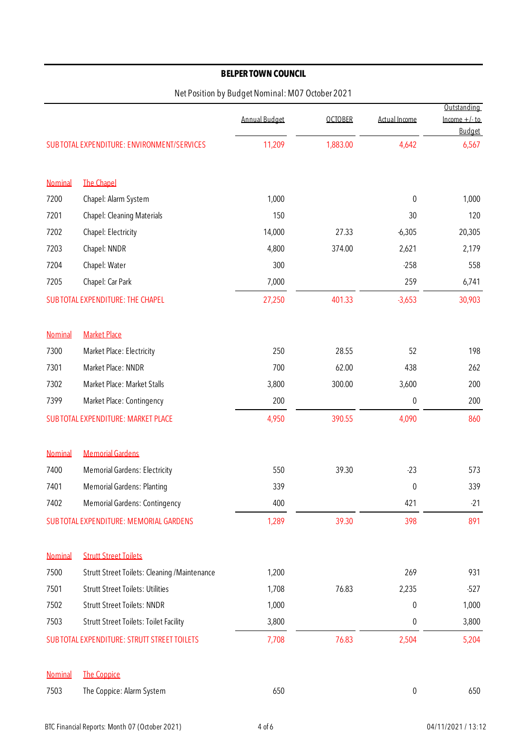|         |                                                     |                      |                |               | Outstanding                      |
|---------|-----------------------------------------------------|----------------------|----------------|---------------|----------------------------------|
|         |                                                     | <b>Annual Budget</b> | <b>OCTOBER</b> | Actual Income | $lncome +/- to$<br><b>Budget</b> |
|         | <b>SUB TOTAL EXPENDITURE: ENVIRONMENT/SERVICES</b>  | 11,209               | 1,883.00       | 4,642         | 6,567                            |
| Nominal | <b>The Chapel</b>                                   |                      |                |               |                                  |
| 7200    | Chapel: Alarm System                                | 1,000                |                | 0             | 1,000                            |
| 7201    | Chapel: Cleaning Materials                          | 150                  |                | 30            | 120                              |
| 7202    | Chapel: Electricity                                 | 14,000               | 27.33          | $-6,305$      | 20,305                           |
| 7203    | Chapel: NNDR                                        | 4,800                | 374.00         | 2,621         | 2,179                            |
| 7204    | Chapel: Water                                       | 300                  |                | $-258$        | 558                              |
| 7205    | Chapel: Car Park                                    | 7,000                |                | 259           | 6,741                            |
|         | SUB TOTAL EXPENDITURE: THE CHAPEL                   | 27,250               | 401.33         | $-3,653$      | 30,903                           |
| Nominal | <b>Market Place</b>                                 |                      |                |               |                                  |
| 7300    | Market Place: Electricity                           | 250                  | 28.55          | 52            | 198                              |
| 7301    | Market Place: NNDR                                  | 700                  | 62.00          | 438           | 262                              |
| 7302    | Market Place: Market Stalls                         | 3,800                | 300.00         | 3,600         | 200                              |
| 7399    | Market Place: Contingency                           | 200                  |                | $\pmb{0}$     | 200                              |
|         | SUB TOTAL EXPENDITURE: MARKET PLACE                 | 4,950                | 390.55         | 4,090         | 860                              |
| Nominal | <b>Memorial Gardens</b>                             |                      |                |               |                                  |
| 7400    | <b>Memorial Gardens: Electricity</b>                | 550                  | 39.30          | $-23$         | 573                              |
| 7401    | <b>Memorial Gardens: Planting</b>                   | 339                  |                | $\pmb{0}$     | 339                              |
| 7402    | <b>Memorial Gardens: Contingency</b>                | 400                  |                | 421           | $-21$                            |
|         | <b>SUB TOTAL EXPENDITURE: MEMORIAL GARDENS</b>      | 1,289                | 39.30          | 398           | 891                              |
| Nominal | <b>Strutt Street Toilets</b>                        |                      |                |               |                                  |
| 7500    | <b>Strutt Street Toilets: Cleaning /Maintenance</b> | 1,200                |                | 269           | 931                              |
| 7501    | <b>Strutt Street Toilets: Utilities</b>             | 1,708                | 76.83          | 2,235         | $-527$                           |
| 7502    | <b>Strutt Street Toilets: NNDR</b>                  | 1,000                |                | 0             | 1,000                            |
| 7503    | <b>Strutt Street Toilets: Toilet Facility</b>       | 3,800                |                | 0             | 3,800                            |
|         | SUB TOTAL EXPENDITURE: STRUTT STREET TOILETS        | 7,708                | 76.83          | 2,504         | 5,204                            |
| Nominal | <b>The Coppice</b>                                  |                      |                |               |                                  |
| 7503    | The Coppice: Alarm System                           | 650                  |                | 0             | 650                              |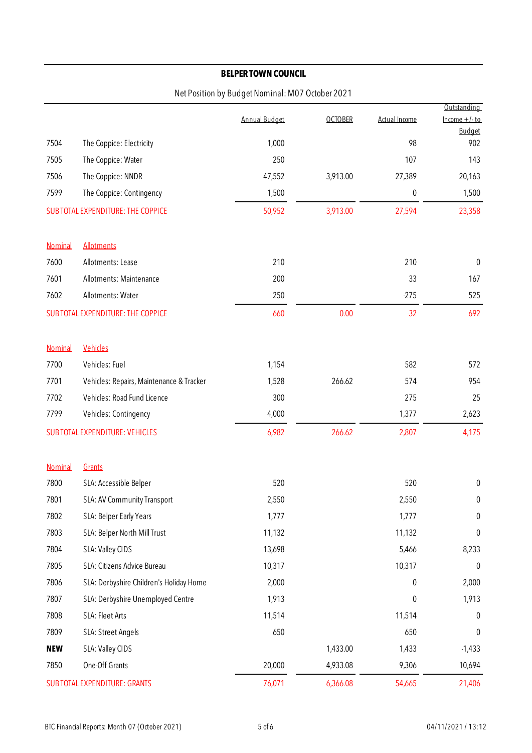|                |                                          |                      |                |               | Outstanding                      |
|----------------|------------------------------------------|----------------------|----------------|---------------|----------------------------------|
|                |                                          | <b>Annual Budget</b> | <b>OCTOBER</b> | Actual Income | Income $+/-$ to<br><b>Budget</b> |
| 7504           | The Coppice: Electricity                 | 1,000                |                | 98            | 902                              |
| 7505           | The Coppice: Water                       | 250                  |                | 107           | 143                              |
| 7506           | The Coppice: NNDR                        | 47,552               | 3,913.00       | 27,389        | 20,163                           |
| 7599           | The Coppice: Contingency                 | 1,500                |                | 0             | 1,500                            |
|                | SUB TOTAL EXPENDITURE: THE COPPICE       | 50,952               | 3,913.00       | 27,594        | 23,358                           |
|                |                                          |                      |                |               |                                  |
| Nominal        | <b>Allotments</b>                        |                      |                |               |                                  |
| 7600           | Allotments: Lease                        | 210                  |                | 210           | $\boldsymbol{0}$                 |
| 7601           | Allotments: Maintenance                  | 200                  |                | 33            | 167                              |
| 7602           | Allotments: Water                        | 250                  |                | $-275$        | 525                              |
|                | SUB TOTAL EXPENDITURE: THE COPPICE       | 660                  | 0.00           | $-32$         | 692                              |
|                |                                          |                      |                |               |                                  |
| <b>Nominal</b> | Vehicles                                 |                      |                |               |                                  |
| 7700           | Vehicles: Fuel                           | 1,154                |                | 582           | 572                              |
| 7701           | Vehicles: Repairs, Maintenance & Tracker | 1,528                | 266.62         | 574           | 954                              |
| 7702           | Vehicles: Road Fund Licence              | 300                  |                | 275           | 25                               |
| 7799           | Vehicles: Contingency                    | 4,000                |                | 1,377         | 2,623                            |
|                | <b>SUB TOTAL EXPENDITURE: VEHICLES</b>   | 6,982                | 266.62         | 2,807         | 4,175                            |
| Nominal        | Grants                                   |                      |                |               |                                  |
| 7800           | SLA: Accessible Belper                   | 520                  |                | 520           | $\pmb{0}$                        |
| 7801           | SLA: AV Community Transport              | 2,550                |                | 2,550         | 0                                |
| 7802           | SLA: Belper Early Years                  | 1,777                |                | 1,777         | $\pmb{0}$                        |
| 7803           | SLA: Belper North Mill Trust             | 11,132               |                | 11,132        | 0                                |
| 7804           | SLA: Valley CIDS                         | 13,698               |                | 5,466         | 8,233                            |
| 7805           | SLA: Citizens Advice Bureau              | 10,317               |                | 10,317        | 0                                |
| 7806           | SLA: Derbyshire Children's Holiday Home  | 2,000                |                | 0             | 2,000                            |
| 7807           | SLA: Derbyshire Unemployed Centre        | 1,913                |                | 0             | 1,913                            |
| 7808           | SLA: Fleet Arts                          | 11,514               |                | 11,514        | 0                                |
| 7809           | SLA: Street Angels                       | 650                  |                | 650           | 0                                |
| <b>NEW</b>     | SLA: Valley CIDS                         |                      | 1,433.00       | 1,433         | $-1,433$                         |
| 7850           | One-Off Grants                           | 20,000               | 4,933.08       | 9,306         | 10,694                           |
|                | <b>SUB TOTAL EXPENDITURE: GRANTS</b>     | 76,071               | 6,366.08       | 54,665        | 21,406                           |